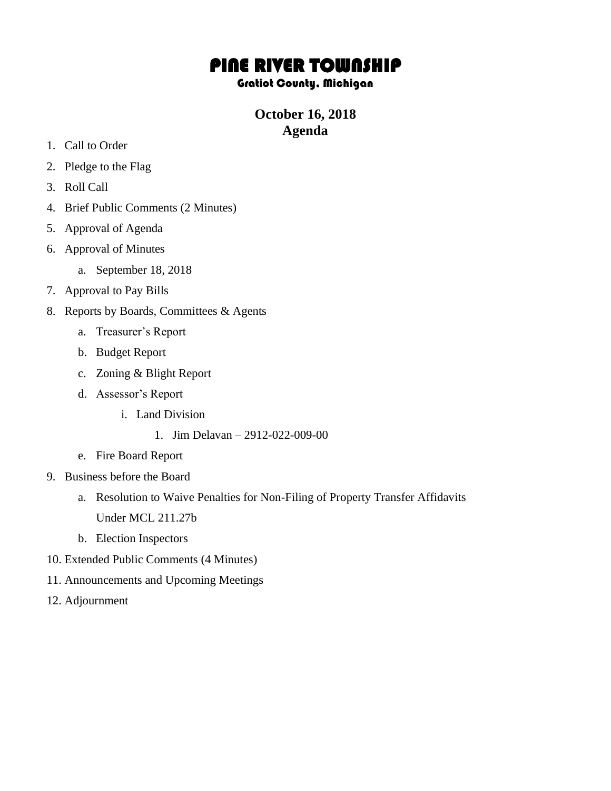# PINE RIVER TOWNSHIP

#### Gratiot County, Michigan

## **October 16, 2018 Agenda**

- 1. Call to Order
- 2. Pledge to the Flag
- 3. Roll Call
- 4. Brief Public Comments (2 Minutes)
- 5. Approval of Agenda
- 6. Approval of Minutes
	- a. September 18, 2018
- 7. Approval to Pay Bills
- 8. Reports by Boards, Committees & Agents
	- a. Treasurer's Report
	- b. Budget Report
	- c. Zoning & Blight Report
	- d. Assessor's Report
		- i. Land Division
			- 1. Jim Delavan 2912-022-009-00
	- e. Fire Board Report
- 9. Business before the Board
	- a. Resolution to Waive Penalties for Non-Filing of Property Transfer Affidavits Under MCL 211.27b
	- b. Election Inspectors
- 10. Extended Public Comments (4 Minutes)
- 11. Announcements and Upcoming Meetings
- 12. Adjournment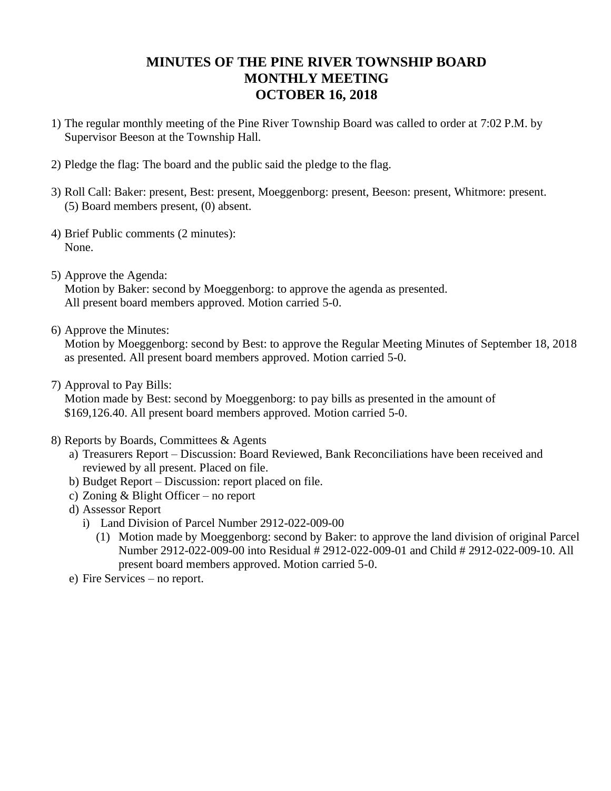### **MINUTES OF THE PINE RIVER TOWNSHIP BOARD MONTHLY MEETING OCTOBER 16, 2018**

- 1) The regular monthly meeting of the Pine River Township Board was called to order at 7:02 P.M. by Supervisor Beeson at the Township Hall.
- 2) Pledge the flag: The board and the public said the pledge to the flag.
- 3) Roll Call: Baker: present, Best: present, Moeggenborg: present, Beeson: present, Whitmore: present. (5) Board members present, (0) absent.
- 4) Brief Public comments (2 minutes): None.
- 5) Approve the Agenda:

Motion by Baker: second by Moeggenborg: to approve the agenda as presented. All present board members approved. Motion carried 5-0.

6) Approve the Minutes:

Motion by Moeggenborg: second by Best: to approve the Regular Meeting Minutes of September 18, 2018 as presented. All present board members approved. Motion carried 5-0.

7) Approval to Pay Bills:

Motion made by Best: second by Moeggenborg: to pay bills as presented in the amount of \$169,126.40. All present board members approved. Motion carried 5-0.

- 8) Reports by Boards, Committees & Agents
	- a) Treasurers Report Discussion: Board Reviewed, Bank Reconciliations have been received and reviewed by all present. Placed on file.
	- b) Budget Report Discussion: report placed on file.
	- c) Zoning & Blight Officer no report
	- d) Assessor Report
		- i) Land Division of Parcel Number 2912-022-009-00
			- (1) Motion made by Moeggenborg: second by Baker: to approve the land division of original Parcel Number 2912-022-009-00 into Residual # 2912-022-009-01 and Child # 2912-022-009-10. All present board members approved. Motion carried 5-0.
	- e) Fire Services no report.